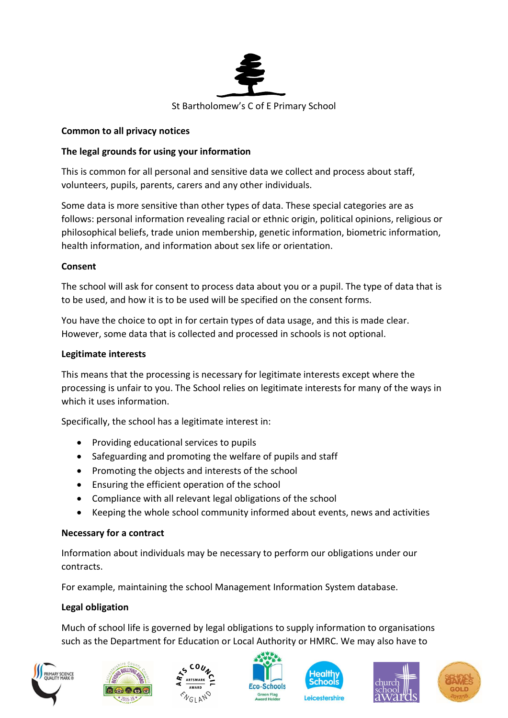

### Common to all privacy notices

# The legal grounds for using your information

This is common for all personal and sensitive data we collect and process about staff, volunteers, pupils, parents, carers and any other individuals.

Some data is more sensitive than other types of data. These special categories are as follows: personal information revealing racial or ethnic origin, political opinions, religious or philosophical beliefs, trade union membership, genetic information, biometric information, health information, and information about sex life or orientation.

### Consent

The school will ask for consent to process data about you or a pupil. The type of data that is to be used, and how it is to be used will be specified on the consent forms.

You have the choice to opt in for certain types of data usage, and this is made clear. However, some data that is collected and processed in schools is not optional.

#### Legitimate interests

This means that the processing is necessary for legitimate interests except where the processing is unfair to you. The School relies on legitimate interests for many of the ways in which it uses information.

Specifically, the school has a legitimate interest in:

- Providing educational services to pupils
- Safeguarding and promoting the welfare of pupils and staff
- Promoting the objects and interests of the school
- Ensuring the efficient operation of the school
- Compliance with all relevant legal obligations of the school
- Keeping the whole school community informed about events, news and activities

### Necessary for a contract

Information about individuals may be necessary to perform our obligations under our contracts.

For example, maintaining the school Management Information System database.

### Legal obligation

Much of school life is governed by legal obligations to supply information to organisations such as the Department for Education or Local Authority or HMRC. We may also have to